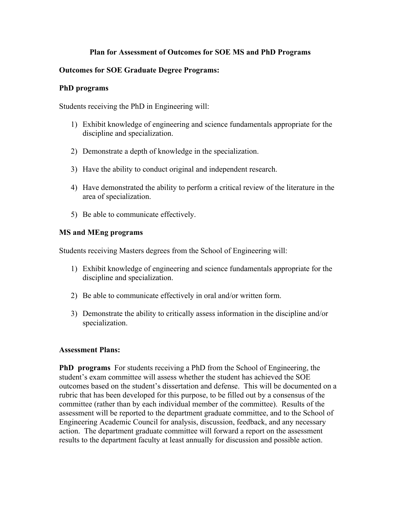# **Plan for Assessment of Outcomes for SOE MS and PhD Programs**

# **Outcomes for SOE Graduate Degree Programs:**

#### **PhD programs**

Students receiving the PhD in Engineering will:

- 1) Exhibit knowledge of engineering and science fundamentals appropriate for the discipline and specialization.
- 2) Demonstrate a depth of knowledge in the specialization.
- 3) Have the ability to conduct original and independent research.
- 4) Have demonstrated the ability to perform a critical review of the literature in the area of specialization.
- 5) Be able to communicate effectively.

#### **MS and MEng programs**

Students receiving Masters degrees from the School of Engineering will:

- 1) Exhibit knowledge of engineering and science fundamentals appropriate for the discipline and specialization.
- 2) Be able to communicate effectively in oral and/or written form.
- 3) Demonstrate the ability to critically assess information in the discipline and/or specialization.

## **Assessment Plans:**

**PhD programs** For students receiving a PhD from the School of Engineering, the student's exam committee will assess whether the student has achieved the SOE outcomes based on the student's dissertation and defense. This will be documented on a rubric that has been developed for this purpose, to be filled out by a consensus of the committee (rather than by each individual member of the committee). Results of the assessment will be reported to the department graduate committee, and to the School of Engineering Academic Council for analysis, discussion, feedback, and any necessary action. The department graduate committee will forward a report on the assessment results to the department faculty at least annually for discussion and possible action.